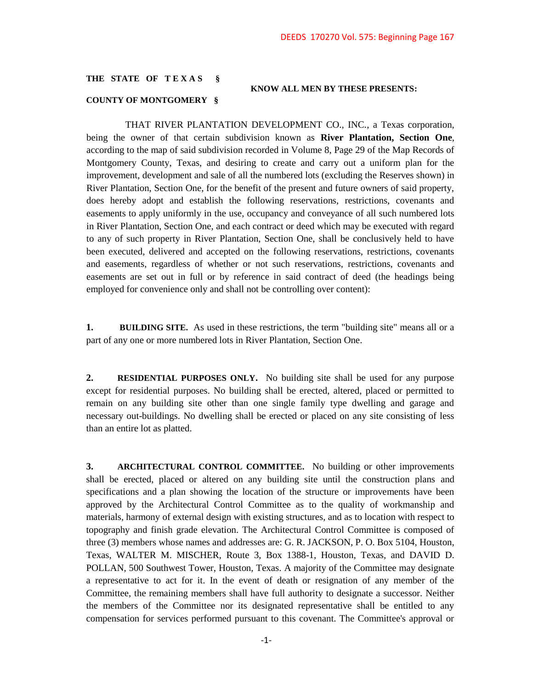## **THE STATE OF T E X A S §**

## **KNOW ALL MEN BY THESE PRESENTS:**

## **COUNTY OF MONTGOMERY §**

 THAT RIVER PLANTATION DEVELOPMENT CO., INC., a Texas corporation, being the owner of that certain subdivision known as **River Plantation, Section One**, according to the map of said subdivision recorded in Volume 8, Page 29 of the Map Records of Montgomery County, Texas, and desiring to create and carry out a uniform plan for the improvement, development and sale of all the numbered lots (excluding the Reserves shown) in River Plantation, Section One, for the benefit of the present and future owners of said property, does hereby adopt and establish the following reservations, restrictions, covenants and easements to apply uniformly in the use, occupancy and conveyance of all such numbered lots in River Plantation, Section One, and each contract or deed which may be executed with regard to any of such property in River Plantation, Section One, shall be conclusively held to have been executed, delivered and accepted on the following reservations, restrictions, covenants and easements, regardless of whether or not such reservations, restrictions, covenants and easements are set out in full or by reference in said contract of deed (the headings being employed for convenience only and shall not be controlling over content):

**1. BUILDING SITE.** As used in these restrictions, the term "building site" means all or a part of any one or more numbered lots in River Plantation, Section One.

**2. RESIDENTIAL PURPOSES ONLY.** No building site shall be used for any purpose except for residential purposes. No building shall be erected, altered, placed or permitted to remain on any building site other than one single family type dwelling and garage and necessary out-buildings. No dwelling shall be erected or placed on any site consisting of less than an entire lot as platted.

**3. ARCHITECTURAL CONTROL COMMITTEE.** No building or other improvements shall be erected, placed or altered on any building site until the construction plans and specifications and a plan showing the location of the structure or improvements have been approved by the Architectural Control Committee as to the quality of workmanship and materials, harmony of external design with existing structures, and as to location with respect to topography and finish grade elevation. The Architectural Control Committee is composed of three (3) members whose names and addresses are: G. R. JACKSON, P. O. Box 5104, Houston, Texas, WALTER M. MISCHER, Route 3, Box 1388-1, Houston, Texas, and DAVID D. POLLAN, 500 Southwest Tower, Houston, Texas. A majority of the Committee may designate a representative to act for it. In the event of death or resignation of any member of the Committee, the remaining members shall have full authority to designate a successor. Neither the members of the Committee nor its designated representative shall be entitled to any compensation for services performed pursuant to this covenant. The Committee's approval or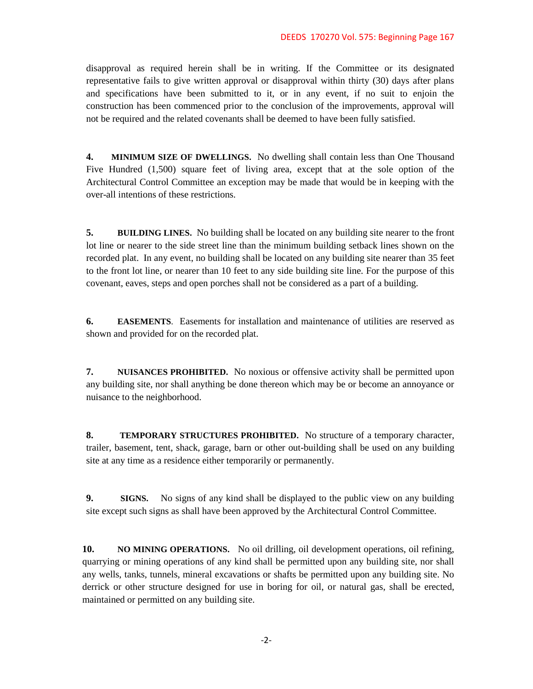disapproval as required herein shall be in writing. If the Committee or its designated representative fails to give written approval or disapproval within thirty (30) days after plans and specifications have been submitted to it, or in any event, if no suit to enjoin the construction has been commenced prior to the conclusion of the improvements, approval will not be required and the related covenants shall be deemed to have been fully satisfied.

**4. MINIMUM SIZE OF DWELLINGS.** No dwelling shall contain less than One Thousand Five Hundred (1,500) square feet of living area, except that at the sole option of the Architectural Control Committee an exception may be made that would be in keeping with the over-all intentions of these restrictions.

**5. BUILDING LINES.** No building shall be located on any building site nearer to the front lot line or nearer to the side street line than the minimum building setback lines shown on the recorded plat. In any event, no building shall be located on any building site nearer than 35 feet to the front lot line, or nearer than 10 feet to any side building site line. For the purpose of this covenant, eaves, steps and open porches shall not be considered as a part of a building.

**6. EASEMENTS**. Easements for installation and maintenance of utilities are reserved as shown and provided for on the recorded plat.

**7. NUISANCES PROHIBITED.** No noxious or offensive activity shall be permitted upon any building site, nor shall anything be done thereon which may be or become an annoyance or nuisance to the neighborhood.

**8. TEMPORARY STRUCTURES PROHIBITED.** No structure of a temporary character, trailer, basement, tent, shack, garage, barn or other out-building shall be used on any building site at any time as a residence either temporarily or permanently.

**9. SIGNS.** No signs of any kind shall be displayed to the public view on any building site except such signs as shall have been approved by the Architectural Control Committee.

**10. NO MINING OPERATIONS.** No oil drilling, oil development operations, oil refining, quarrying or mining operations of any kind shall be permitted upon any building site, nor shall any wells, tanks, tunnels, mineral excavations or shafts be permitted upon any building site. No derrick or other structure designed for use in boring for oil, or natural gas, shall be erected, maintained or permitted on any building site.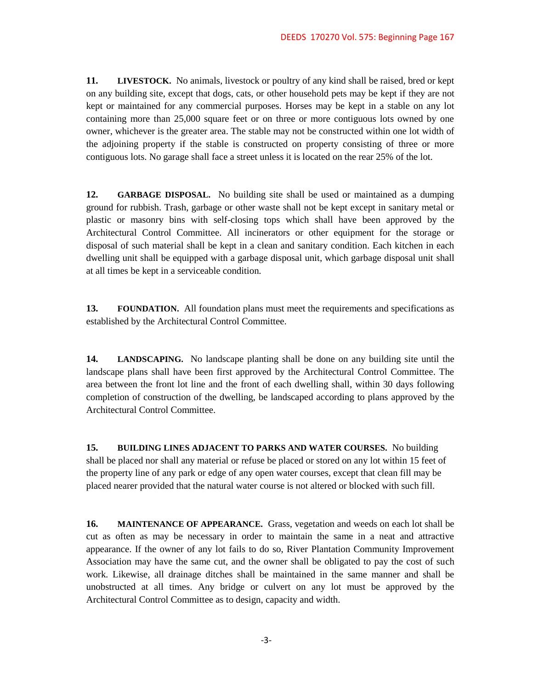**11. LIVESTOCK.** No animals, livestock or poultry of any kind shall be raised, bred or kept on any building site, except that dogs, cats, or other household pets may be kept if they are not kept or maintained for any commercial purposes. Horses may be kept in a stable on any lot containing more than 25,000 square feet or on three or more contiguous lots owned by one owner, whichever is the greater area. The stable may not be constructed within one lot width of the adjoining property if the stable is constructed on property consisting of three or more contiguous lots. No garage shall face a street unless it is located on the rear 25% of the lot.

**12. GARBAGE DISPOSAL.** No building site shall be used or maintained as a dumping ground for rubbish. Trash, garbage or other waste shall not be kept except in sanitary metal or plastic or masonry bins with self-closing tops which shall have been approved by the Architectural Control Committee. All incinerators or other equipment for the storage or disposal of such material shall be kept in a clean and sanitary condition. Each kitchen in each dwelling unit shall be equipped with a garbage disposal unit, which garbage disposal unit shall at all times be kept in a serviceable condition.

**13. FOUNDATION.** All foundation plans must meet the requirements and specifications as established by the Architectural Control Committee.

**14. LANDSCAPING.** No landscape planting shall be done on any building site until the landscape plans shall have been first approved by the Architectural Control Committee. The area between the front lot line and the front of each dwelling shall, within 30 days following completion of construction of the dwelling, be landscaped according to plans approved by the Architectural Control Committee.

**15. BUILDING LINES ADJACENT TO PARKS AND WATER COURSES.** No building shall be placed nor shall any material or refuse be placed or stored on any lot within 15 feet of the property line of any park or edge of any open water courses, except that clean fill may be placed nearer provided that the natural water course is not altered or blocked with such fill.

**16. MAINTENANCE OF APPEARANCE.** Grass, vegetation and weeds on each lot shall be cut as often as may be necessary in order to maintain the same in a neat and attractive appearance. If the owner of any lot fails to do so, River Plantation Community Improvement Association may have the same cut, and the owner shall be obligated to pay the cost of such work. Likewise, all drainage ditches shall be maintained in the same manner and shall be unobstructed at all times. Any bridge or culvert on any lot must be approved by the Architectural Control Committee as to design, capacity and width.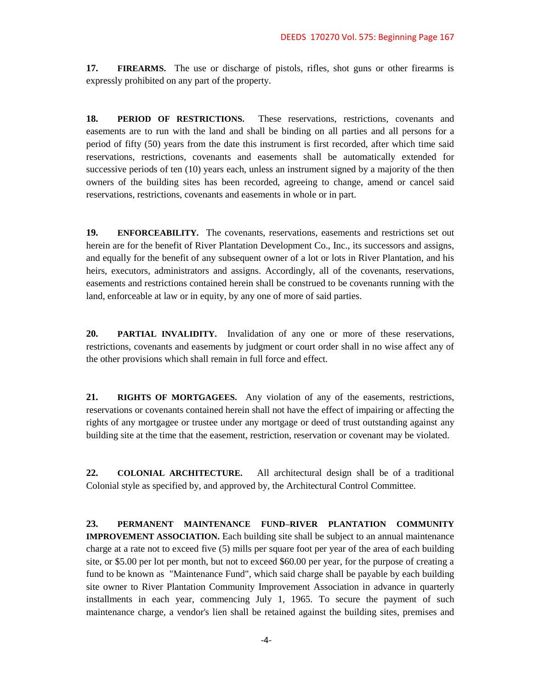**17. FIREARMS.** The use or discharge of pistols, rifles, shot guns or other firearms is expressly prohibited on any part of the property.

**18. PERIOD OF RESTRICTIONS.** These reservations, restrictions, covenants and easements are to run with the land and shall be binding on all parties and all persons for a period of fifty (50) years from the date this instrument is first recorded, after which time said reservations, restrictions, covenants and easements shall be automatically extended for successive periods of ten (10) years each, unless an instrument signed by a majority of the then owners of the building sites has been recorded, agreeing to change, amend or cancel said reservations, restrictions, covenants and easements in whole or in part.

**19. ENFORCEABILITY.** The covenants, reservations, easements and restrictions set out herein are for the benefit of River Plantation Development Co., Inc., its successors and assigns, and equally for the benefit of any subsequent owner of a lot or lots in River Plantation, and his heirs, executors, administrators and assigns. Accordingly, all of the covenants, reservations, easements and restrictions contained herein shall be construed to be covenants running with the land, enforceable at law or in equity, by any one of more of said parties.

**20. PARTIAL INVALIDITY.** Invalidation of any one or more of these reservations, restrictions, covenants and easements by judgment or court order shall in no wise affect any of the other provisions which shall remain in full force and effect.

**21. RIGHTS OF MORTGAGEES.** Any violation of any of the easements, restrictions, reservations or covenants contained herein shall not have the effect of impairing or affecting the rights of any mortgagee or trustee under any mortgage or deed of trust outstanding against any building site at the time that the easement, restriction, reservation or covenant may be violated.

**22. COLONIAL ARCHITECTURE.** All architectural design shall be of a traditional Colonial style as specified by, and approved by, the Architectural Control Committee.

**23. PERMANENT MAINTENANCE FUND–RIVER PLANTATION COMMUNITY IMPROVEMENT ASSOCIATION.** Each building site shall be subject to an annual maintenance charge at a rate not to exceed five (5) mills per square foot per year of the area of each building site, or \$5.00 per lot per month, but not to exceed \$60.00 per year, for the purpose of creating a fund to be known as "Maintenance Fund", which said charge shall be payable by each building site owner to River Plantation Community Improvement Association in advance in quarterly installments in each year, commencing July 1, 1965. To secure the payment of such maintenance charge, a vendor's lien shall be retained against the building sites, premises and